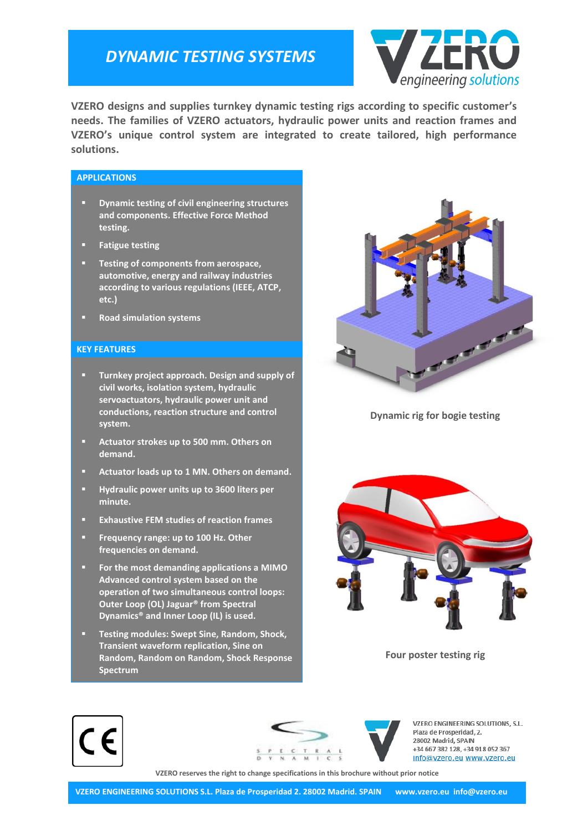## *DYNAMIC TESTING SYSTEMS*



**VZERO designs and supplies turnkey dynamic testing rigs according to specific customer's needs. The families of VZERO actuators, hydraulic power units and reaction frames and VZERO's unique control system are integrated to create tailored, high performance solutions.**

### **APPLICATIONS**

- **Dynamic testing of civil engineering structures and components. Effective Force Method testing.**
- **Fatigue testing**
- **Testing of components from aerospace, automotive, energy and railway industries according to various regulations (IEEE, ATCP, etc.)**
- **Road simulation systems**

#### **KEY FEATURES**

- **Turnkey project approach. Design and supply of civil works, isolation system, hydraulic servoactuators, hydraulic power unit and conductions, reaction structure and control system.**
- **Actuator strokes up to 500 mm. Others on demand.**
- **Actuator loads up to 1 MN. Others on demand.**
- **Hydraulic power units up to 3600 liters per minute.**
- **Exhaustive FEM studies of reaction frames**
- **Frequency range: up to 100 Hz. Other frequencies on demand.**
- **For the most demanding applications a MIMO Advanced control system based on the operation of two simultaneous control loops: Outer Loop (OL) Jaguar® from Spectral Dynamics® and Inner Loop (IL) is used.**
- **Testing modules: Swept Sine, Random, Shock, Transient waveform replication, Sine on Random, Random on Random, Shock Response Spectrum**



**Dynamic rig for bogie testing**



**Four poster testing rig**





VZERO ENGINEERING SOLUTIONS, S.L. Plaza de Prosperidad, 2. 28002 Madrid, SPAIN +34 667 382 128, +34 918 052 367 info@vzero.eu www.vzero.eu

**VZERO reserves the right to change specifications in this brochure without prior notice**